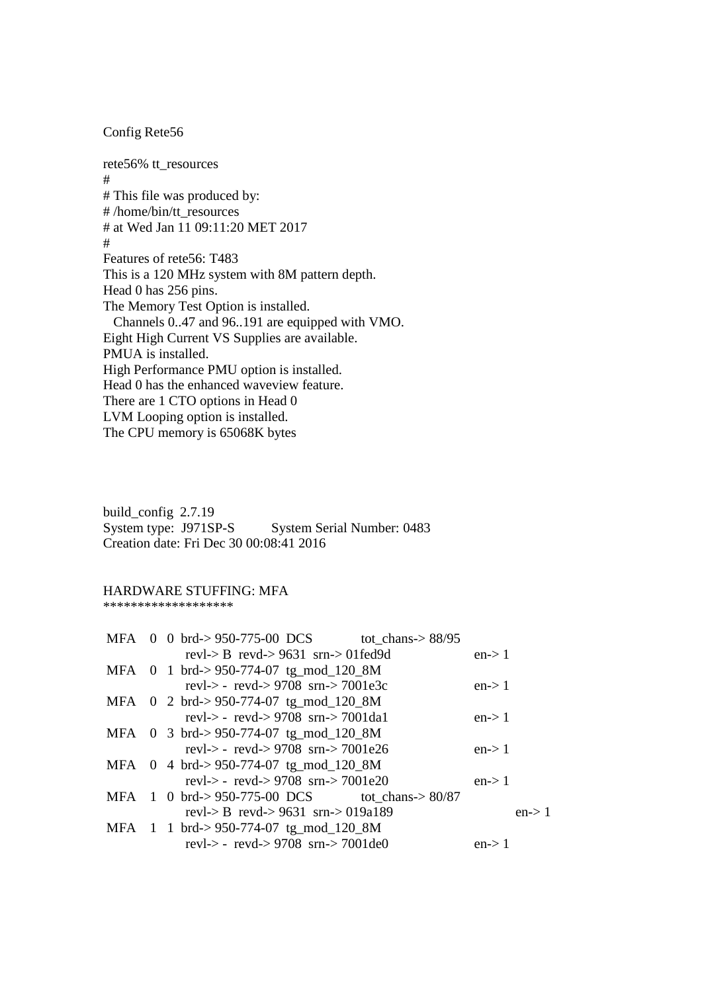## Config Rete56

rete56% tt\_resources # # This file was produced by: # /home/bin/tt\_resources # at Wed Jan 11 09:11:20 MET 2017 # Features of rete56: T483 This is a 120 MHz system with 8M pattern depth. Head 0 has 256 pins. The Memory Test Option is installed. Channels 0..47 and 96..191 are equipped with VMO. Eight High Current VS Supplies are available. PMUA is installed. High Performance PMU option is installed. Head 0 has the enhanced waveview feature. There are 1 CTO options in Head 0 LVM Looping option is installed. The CPU memory is 65068K bytes

build\_config 2.7.19 System type: J971SP-S System Serial Number: 0483 Creation date: Fri Dec 30 00:08:41 2016

## HARDWARE STUFFING: MFA

\*\*\*\*\*\*\*\*\*\*\*\*\*\*\*\*\*\*\*

|  |                                                          | MFA 0 0 brd->950-775-00 DCS tot_chans->88/95    |        |        |
|--|----------------------------------------------------------|-------------------------------------------------|--------|--------|
|  | revl-> B revd-> $9631$ srn-> 01fed $9d$                  |                                                 | en > 1 |        |
|  | MFA $0$ 1 brd $\rightarrow$ 950-774-07 tg_mod_120_8M     |                                                 |        |        |
|  | revl-> - revd-> 9708 srn-> 7001e3c                       |                                                 | en > 1 |        |
|  | MFA $\,$ 0 $\,$ 2 brd $\cdot$ > 950-774-07 tg_mod_120_8M |                                                 |        |        |
|  | revl-> - revd-> 9708 srn-> 7001da1                       |                                                 | en > 1 |        |
|  | MFA $\,$ 0 $\,$ 3 brd $\cdot$ > 950-774-07 tg_mod_120_8M |                                                 |        |        |
|  | revl-> - revd-> 9708 srn-> 7001e26                       |                                                 | en > 1 |        |
|  | MFA $\,$ 0 4 brd $\cdot$ >950-774-07 tg_mod_120_8M       |                                                 |        |        |
|  | revl-> - revd-> 9708 srn-> 7001e20                       |                                                 | en > 1 |        |
|  |                                                          | MFA 1 0 brd->950-775-00 DCS tot chans-> $80/87$ |        |        |
|  | revl-> B revd-> 9631 srn-> 019a189                       |                                                 |        | en > 1 |
|  | MFA 1 1 brd->950-774-07 tg_mod_120_8M                    |                                                 |        |        |
|  | revl-> - revd-> 9708 srn-> 7001de0                       |                                                 | en > 1 |        |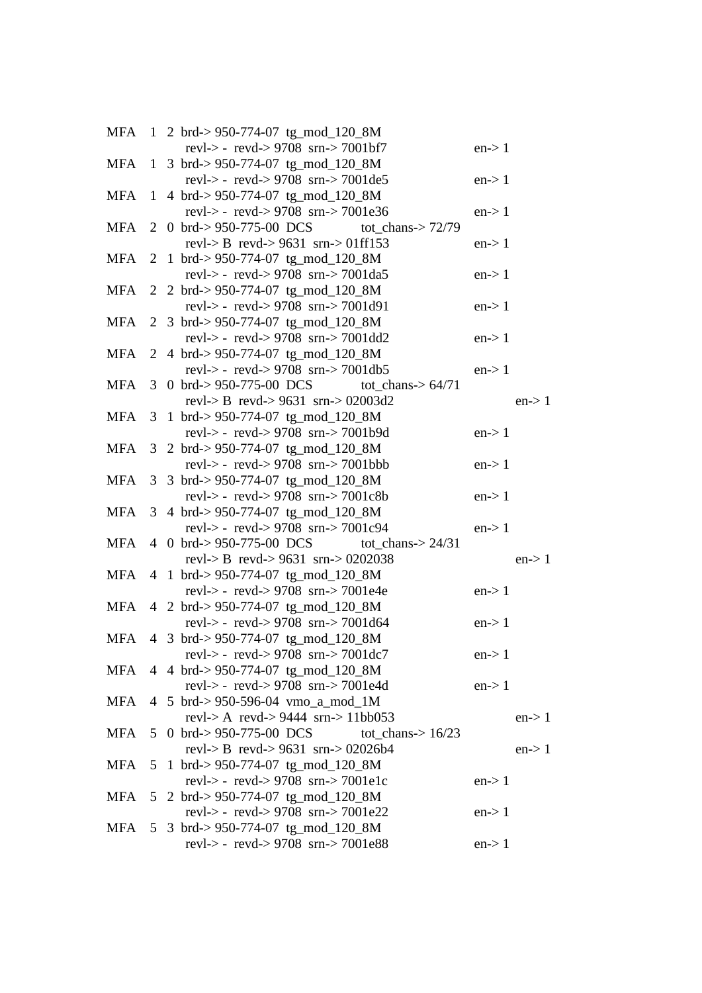|            |   | MFA 1 2 brd->950-774-07 tg_mod_120_8M                                              |        |        |
|------------|---|------------------------------------------------------------------------------------|--------|--------|
|            |   | revl-> - revd-> 9708 srn-> 7001bf7                                                 | en > 1 |        |
| MFA        |   | 1 3 brd $\geq$ 950-774-07 tg_mod_120_8M<br>revl-> - revd-> 9708 srn-> 7001de5      |        |        |
|            |   |                                                                                    | en > 1 |        |
| MFA        |   | 1 4 brd->950-774-07 tg_mod_120_8M<br>revl-> - revd-> 9708 srn-> 7001e36            | en > 1 |        |
|            |   | MFA 2 0 brd->950-775-00 DCS tot_chans->72/79                                       |        |        |
|            |   | revl-> B revd-> 9631 srn-> 01ff153                                                 | en > 1 |        |
|            |   | MFA 2 1 brd->950-774-07 tg_mod_120_8M                                              |        |        |
|            |   | revl-> - revd-> 9708 srn-> 7001da5                                                 | en > 1 |        |
|            |   | MFA 2 2 brd->950-774-07 tg_mod_120_8M                                              |        |        |
|            |   | revl-> - revd-> 9708 srn-> 7001d91                                                 | en > 1 |        |
|            |   | MFA 2 3 brd->950-774-07 tg_mod_120_8M                                              |        |        |
|            |   | revl-> - revd-> 9708 srn-> 7001dd2                                                 | en > 1 |        |
|            |   | MFA 2 4 brd->950-774-07 tg_mod_120_8M                                              |        |        |
|            |   | revl-> - revd-> 9708 srn-> 7001db5                                                 | en > 1 |        |
|            |   | MFA $3 \text{ 0}$ brd $\approx$ 950-775-00 DCS<br>tot_chans-> $64/71$              |        |        |
|            |   | revl-> B revd-> $9631$ srn-> 02003d2                                               |        | en > 1 |
| <b>MFA</b> |   | 3 1 brd->950-774-07 tg_mod_120_8M                                                  |        |        |
|            |   | revl-> - revd-> 9708 srn-> 7001b9d                                                 | en > 1 |        |
| MFA        |   | 3 2 brd-> 950-774-07 tg_mod_120_8M                                                 |        |        |
|            |   | revl-> - revd-> $9708$ srn-> $7001$ bbb                                            | en > 1 |        |
|            |   | MFA 3 3 brd->950-774-07 tg_mod_120_8M                                              |        |        |
|            |   | revl-> - revd-> $9708$ srn-> $7001c8b$                                             | en > 1 |        |
|            |   | MFA 3 4 brd->950-774-07 tg_mod_120_8M                                              | en > 1 |        |
|            |   | revl-> - revd-> 9708 srn-> 7001c94<br>MFA 4 0 brd->950-775-00 DCS tot_chans->24/31 |        |        |
|            |   | revl-> B revd-> 9631 srn-> 0202038                                                 |        | en > 1 |
|            |   | MFA 4 1 brd->950-774-07 tg_mod_120_8M                                              |        |        |
|            |   | revl-> - revd-> 9708 srn-> 7001e4e                                                 | en > 1 |        |
|            |   | MFA 4 2 brd->950-774-07 tg_mod_120_8M                                              |        |        |
|            |   | revl-> - revd-> 9708 srn-> 7001d64                                                 | en > 1 |        |
|            |   | MFA 4 3 brd->950-774-07 tg_mod_120_8M                                              |        |        |
|            |   | revl-> - revd-> $9708$ srn-> $7001$ dc7                                            | en > 1 |        |
|            |   | MFA 4 4 brd->950-774-07 tg_mod_120_8M                                              |        |        |
|            |   | revl-> - revd-> 9708 srn-> 7001e4d                                                 | en > 1 |        |
|            |   | MFA 4 5 brd->950-596-04 vmo_a_mod_1M                                               |        |        |
|            |   | revl-> A revd-> $9444$ srn-> 11bb053                                               |        | en > 1 |
|            |   | MFA 5 0 brd->950-775-00 DCS tot_chans->16/23                                       |        |        |
|            |   | revl-> B revd-> $9631$ srn-> 02026b4                                               |        | en > 1 |
| <b>MFA</b> | 5 | 1 brd->950-774-07 tg_mod_120_8M                                                    |        |        |
|            |   | revl-> - revd-> 9708 srn-> 7001e1c                                                 | en > 1 |        |
|            |   | MFA 5 2 brd->950-774-07 tg_mod_120_8M                                              |        |        |
|            |   | revl-> - revd-> $9708$ srn-> $7001e22$                                             | en > 1 |        |
|            |   | MFA 5 3 brd->950-774-07 tg_mod_120_8M                                              |        |        |
|            |   | revl-> - revd-> 9708 srn-> 7001e88                                                 | en > 1 |        |